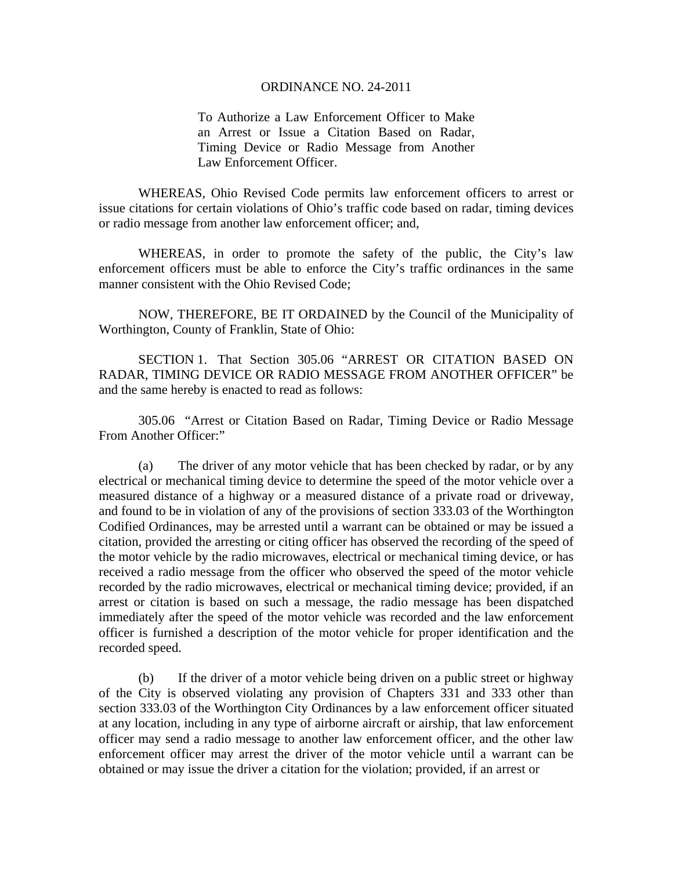## ORDINANCE NO. 24-2011

To Authorize a Law Enforcement Officer to Make an Arrest or Issue a Citation Based on Radar, Timing Device or Radio Message from Another Law Enforcement Officer.

 WHEREAS, Ohio Revised Code permits law enforcement officers to arrest or issue citations for certain violations of Ohio's traffic code based on radar, timing devices or radio message from another law enforcement officer; and,

 WHEREAS, in order to promote the safety of the public, the City's law enforcement officers must be able to enforce the City's traffic ordinances in the same manner consistent with the Ohio Revised Code;

 NOW, THEREFORE, BE IT ORDAINED by the Council of the Municipality of Worthington, County of Franklin, State of Ohio:

 SECTION 1. That Section 305.06 "ARREST OR CITATION BASED ON RADAR, TIMING DEVICE OR RADIO MESSAGE FROM ANOTHER OFFICER" be and the same hereby is enacted to read as follows:

 305.06 "Arrest or Citation Based on Radar, Timing Device or Radio Message From Another Officer:"

 (a) The driver of any motor vehicle that has been checked by radar, or by any electrical or mechanical timing device to determine the speed of the motor vehicle over a measured distance of a highway or a measured distance of a private road or driveway, and found to be in violation of any of the provisions of section 333.03 of the Worthington Codified Ordinances, may be arrested until a warrant can be obtained or may be issued a citation, provided the arresting or citing officer has observed the recording of the speed of the motor vehicle by the radio microwaves, electrical or mechanical timing device, or has received a radio message from the officer who observed the speed of the motor vehicle recorded by the radio microwaves, electrical or mechanical timing device; provided, if an arrest or citation is based on such a message, the radio message has been dispatched immediately after the speed of the motor vehicle was recorded and the law enforcement officer is furnished a description of the motor vehicle for proper identification and the recorded speed.

 (b) If the driver of a motor vehicle being driven on a public street or highway of the City is observed violating any provision of Chapters 331 and 333 other than section 333.03 of the Worthington City Ordinances by a law enforcement officer situated at any location, including in any type of airborne aircraft or airship, that law enforcement officer may send a radio message to another law enforcement officer, and the other law enforcement officer may arrest the driver of the motor vehicle until a warrant can be obtained or may issue the driver a citation for the violation; provided, if an arrest or